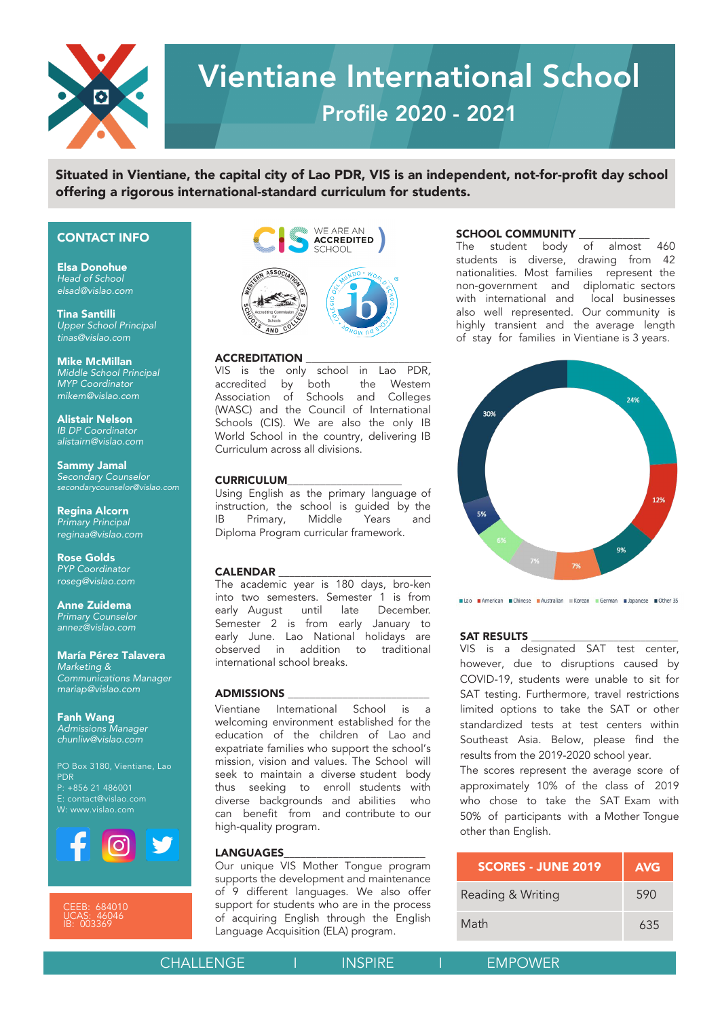

# Vientiane International School Profile 2020 - 2021

Situated in Vientiane, the capital city of Lao PDR, VIS is an independent, not-for-profit day school offering a rigorous international-standard curriculum for students.

#### CONTACT INFO

Elsa Donohue *Head of School elsad@vislao.com*

Tina Santilli *Upper School Principal tinas@vislao.com*

Mike McMillan *Middle School Principal MYP Coordinator mikem@vislao.com*

Alistair Nelson *IB DP Coordinator alistairn@vislao.com*

Sammy Jamal *Secondary Counselor*  secondarycounselor*@vislao.com*

Regina Alcorn *Primary Principal* reginaa*@vislao.com*

Rose Golds *PYP Coordinator roseg@vislao.com*

Anne Zuidema *Primary Counselor annez@vislao.com*

María Pérez Talavera *Marketing & Communications Manager mariap@vislao.com*

Fanh Wang *Admissions Manager chunliw@vislao.com*

PO Box 3180, Vientiane, Lao PDR P: +856 21 486001 E: contact@vislao.com W: www.vislao.com



UCAS: 46046 IB: 003369



#### ACCREDITATION \_\_\_\_\_\_\_\_\_\_\_\_\_\_\_\_\_\_\_\_\_\_\_

VIS is the only school in Lao PDR, accredited by both the Western Association of Schools and Colleges (WASC) and the Council of International Schools (CIS). We are also the only IB World School in the country, delivering IB Curriculum across all divisions.

#### **CURRICULUM**

Using English as the primary language of instruction, the school is guided by the IB Primary, Middle Years and Diploma Program curricular framework.

#### **CALENDAR**

The academic year is 180 days, broken into two semesters. Semester 1 is from early August until late December. Semester 2 is from early January to early June. Lao National holidays are observed in addition to traditional international school breaks.

#### ADMISSIONS \_\_\_\_\_\_\_\_\_\_\_\_\_\_\_\_\_\_\_\_\_\_\_\_\_\_

Vientiane International School is welcoming environment established for the education of the children of Lao and expatriate families who support the school's mission, vision and values. The School will seek to maintain a diverse student body by enrolling students with diverse backgrounds and abilities who can benefit from and contribute to our highquality program.

#### **LANGUAGES**

Our unique VIS Mother Tongue program supports the development and maintenance of 9 different languages. We also offer support for students who are in the process of acquiring English through the English Language Acquisition (ELA) program.

**SCHOOL COMMUNITY**<br>The student body of almost 460 The student body of students is diverse, drawing from 42 nationalities. Most families represent the non-government and diplomatic sectors with international and local businesses also well represented. Our community is highly transient and the average length of stay for families in Vientiane is 3 years.



#### SAT RESULTS

VIS is a designated SAT test center, however, due to disruptions caused by COVID-19, students were unable to sit for SAT testing. Furthermore, travel restrictions limited options to take the SAT or other standardized tests at test centers within Southeast Asia. Below, please find the results from the 2019-2020 school year.

The scores represent the average score of approximately 10% of the class of 2019 who chose to take the SAT Exam with 50% of participants with a Mother Tongue other than English.

| <b>SCORES - JUNE 2019</b> | <b>AVG</b> |
|---------------------------|------------|
| Reading & Writing         | 590        |
| Math                      | 635        |

|  | <b>CHALLENGE</b> |
|--|------------------|
|  |                  |
|  |                  |